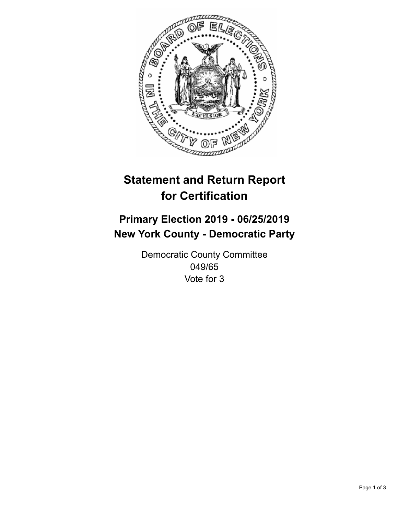

## **Statement and Return Report for Certification**

## **Primary Election 2019 - 06/25/2019 New York County - Democratic Party**

Democratic County Committee 049/65 Vote for 3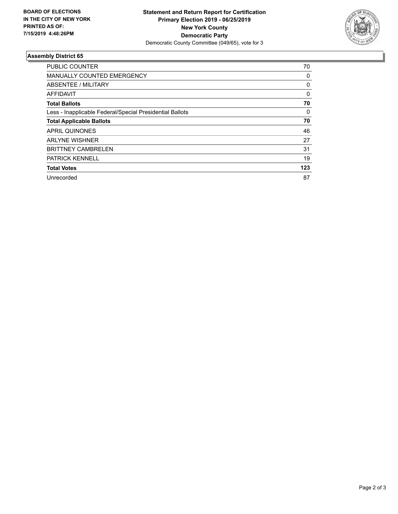

## **Assembly District 65**

| <b>PUBLIC COUNTER</b>                                    | 70       |
|----------------------------------------------------------|----------|
| <b>MANUALLY COUNTED EMERGENCY</b>                        | 0        |
| ABSENTEE / MILITARY                                      | 0        |
| AFFIDAVIT                                                | $\Omega$ |
| <b>Total Ballots</b>                                     | 70       |
| Less - Inapplicable Federal/Special Presidential Ballots | 0        |
| <b>Total Applicable Ballots</b>                          | 70       |
| APRIL QUINONES                                           | 46       |
| <b>ARLYNE WISHNER</b>                                    | 27       |
| <b>BRITTNEY CAMBRELEN</b>                                | 31       |
| <b>PATRICK KENNELL</b>                                   | 19       |
| <b>Total Votes</b>                                       | 123      |
| Unrecorded                                               | 87       |